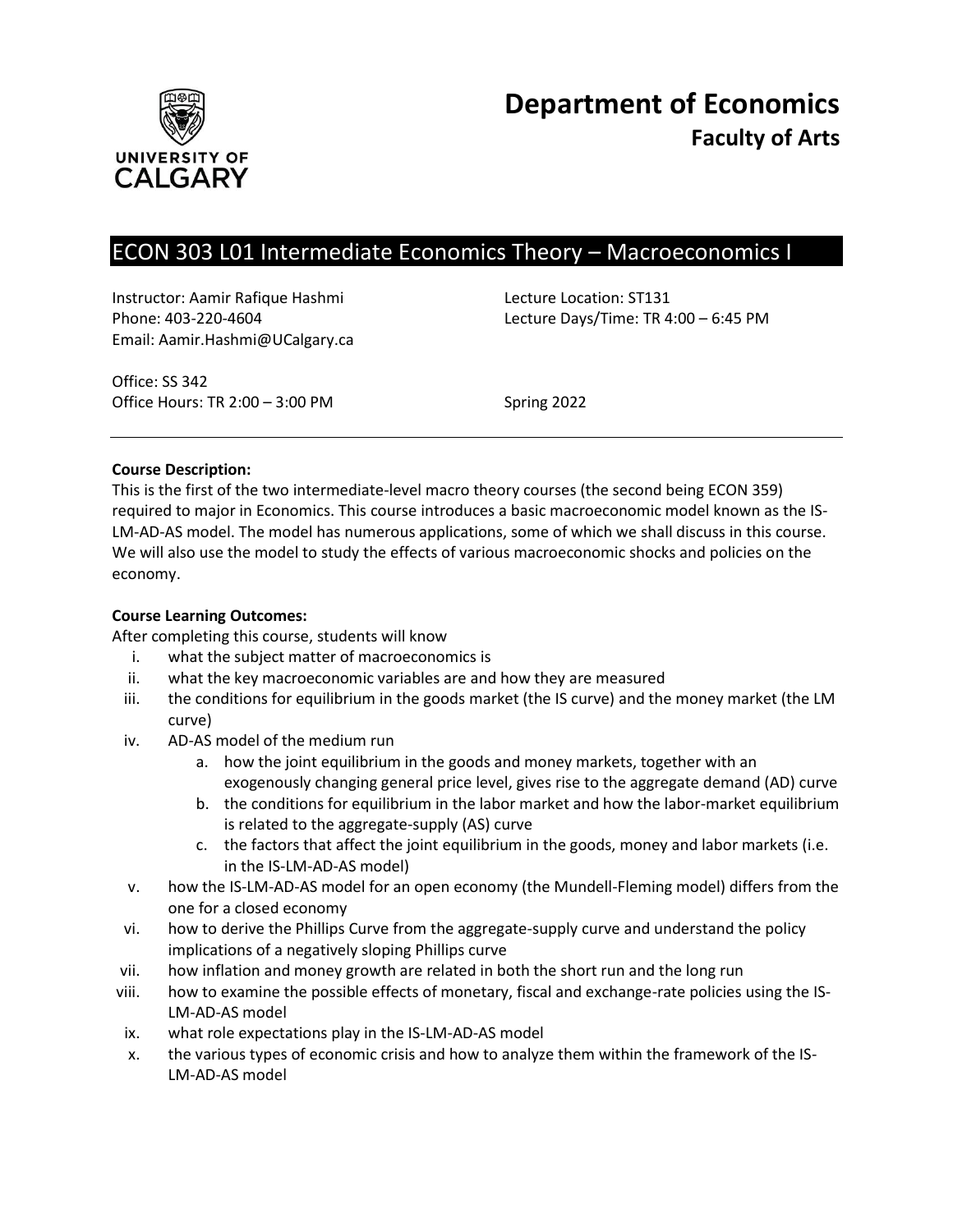

# ECON 303 L01 Intermediate Economics Theory – Macroeconomics I

Instructor: Aamir Rafique Hashmi Lecture Location: ST131 Email: Aamir.Hashmi@UCalgary.ca

Phone: 403-220-4604 Lecture Days/Time: TR 4:00 – 6:45 PM

Office: SS 342 Office Hours: TR 2:00 – 3:00 PM Spring 2022

## **Course Description:**

This is the first of the two intermediate-level macro theory courses (the second being ECON 359) required to major in Economics. This course introduces a basic macroeconomic model known as the IS-LM-AD-AS model. The model has numerous applications, some of which we shall discuss in this course. We will also use the model to study the effects of various macroeconomic shocks and policies on the economy.

## **Course Learning Outcomes:**

After completing this course, students will know

- i. what the subject matter of macroeconomics is
- ii. what the key macroeconomic variables are and how they are measured
- iii. the conditions for equilibrium in the goods market (the IS curve) and the money market (the LM curve)
- iv. AD-AS model of the medium run
	- a. how the joint equilibrium in the goods and money markets, together with an exogenously changing general price level, gives rise to the aggregate demand (AD) curve
	- b. the conditions for equilibrium in the labor market and how the labor-market equilibrium is related to the aggregate-supply (AS) curve
	- c. the factors that affect the joint equilibrium in the goods, money and labor markets (i.e. in the IS-LM-AD-AS model)
- v. how the IS-LM-AD-AS model for an open economy (the Mundell-Fleming model) differs from the one for a closed economy
- vi. how to derive the Phillips Curve from the aggregate-supply curve and understand the policy implications of a negatively sloping Phillips curve
- vii. how inflation and money growth are related in both the short run and the long run
- viii. how to examine the possible effects of monetary, fiscal and exchange-rate policies using the IS-LM-AD-AS model
- ix. what role expectations play in the IS-LM-AD-AS model
- x. the various types of economic crisis and how to analyze them within the framework of the IS-LM-AD-AS model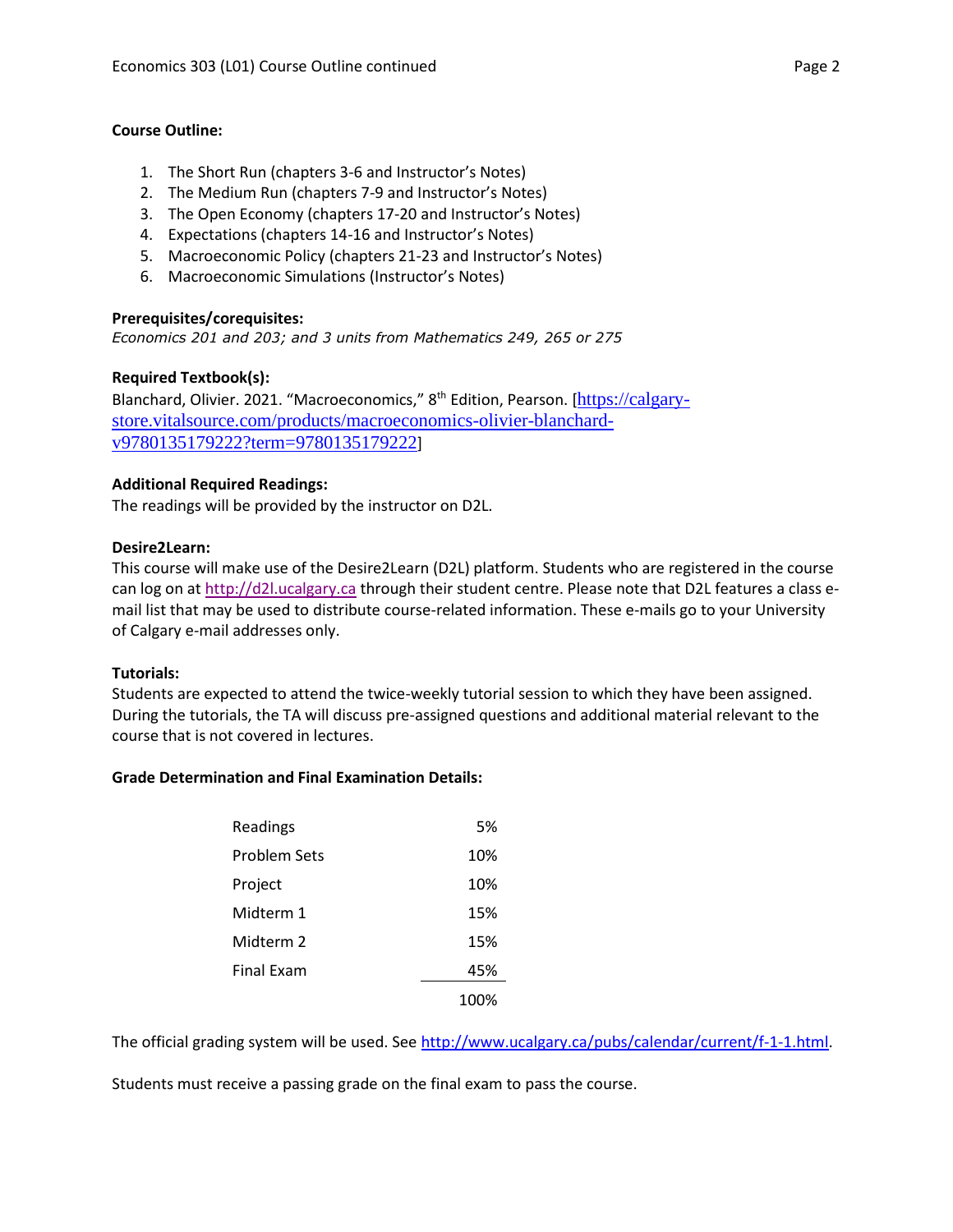### **Course Outline:**

- 1. The Short Run (chapters 3-6 and Instructor's Notes)
- 2. The Medium Run (chapters 7-9 and Instructor's Notes)
- 3. The Open Economy (chapters 17-20 and Instructor's Notes)
- 4. Expectations (chapters 14-16 and Instructor's Notes)
- 5. Macroeconomic Policy (chapters 21-23 and Instructor's Notes)
- 6. Macroeconomic Simulations (Instructor's Notes)

## **Prerequisites/corequisites:**

*Economics 201 and 203; and 3 units from Mathematics 249, 265 or 275*

## **Required Textbook(s):**

Blanchard, Olivier. 2021. "Macroeconomics," 8<sup>th</sup> Edition, Pearson. [[https://calgary](https://calgary-store.vitalsource.com/products/macroeconomics-olivier-blanchard-v9780135179222?term=9780135179222)[store.vitalsource.com/products/macroeconomics-olivier-blanchard](https://calgary-store.vitalsource.com/products/macroeconomics-olivier-blanchard-v9780135179222?term=9780135179222)[v9780135179222?term=9780135179222](https://calgary-store.vitalsource.com/products/macroeconomics-olivier-blanchard-v9780135179222?term=9780135179222)]

## **Additional Required Readings:**

The readings will be provided by the instructor on D2L.

## **Desire2Learn:**

This course will make use of the Desire2Learn (D2L) platform. Students who are registered in the course can log on a[t http://d2l.ucalgary.ca](http://d2l.ucalgary.ca/) through their student centre. Please note that D2L features a class email list that may be used to distribute course-related information. These e-mails go to your University of Calgary e-mail addresses only.

#### **Tutorials:**

Students are expected to attend the twice-weekly tutorial session to which they have been assigned. During the tutorials, the TA will discuss pre-assigned questions and additional material relevant to the course that is not covered in lectures.

## **Grade Determination and Final Examination Details:**

| Readings          | 5%   |
|-------------------|------|
| Problem Sets      | 10%  |
| Project           | 10%  |
| Midterm 1         | 15%  |
| Midterm 2         | 15%  |
| <b>Final Exam</b> | 45%  |
|                   | 100% |

The official grading system will be used. Se[e http://www.ucalgary.ca/pubs/calendar/current/f-1-1.html.](http://www.ucalgary.ca/pubs/calendar/current/f-1-1.html)

Students must receive a passing grade on the final exam to pass the course.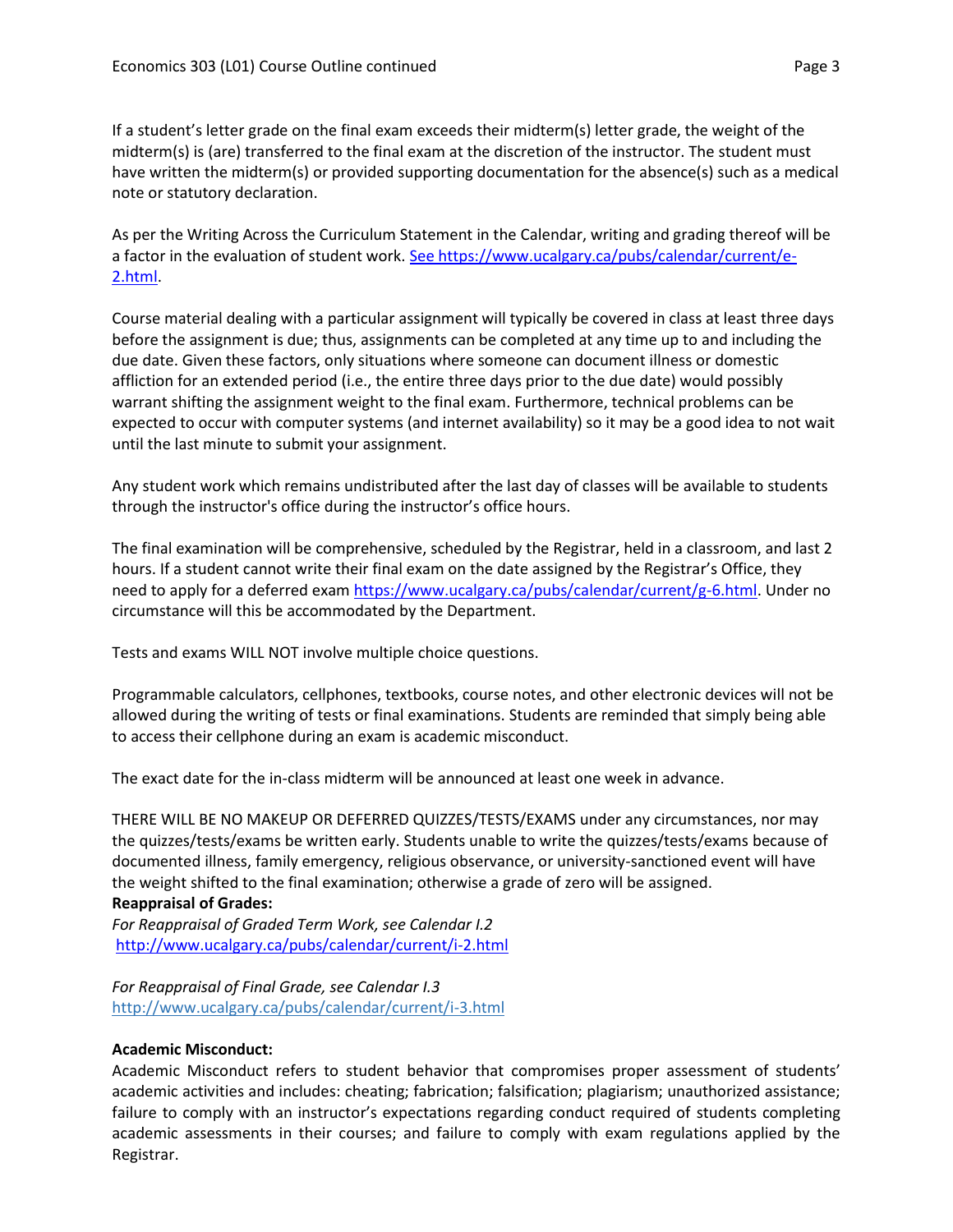If a student's letter grade on the final exam exceeds their midterm(s) letter grade, the weight of the midterm(s) is (are) transferred to the final exam at the discretion of the instructor. The student must have written the midterm(s) or provided supporting documentation for the absence(s) such as a medical note or statutory declaration.

As per the Writing Across the Curriculum Statement in the Calendar, writing and grading thereof will be a factor in the evaluation of student work. [See https://www.ucalgary.ca/pubs/calendar/current/e-](https://www.ucalgary.ca/pubs/calendar/current/e-2.html)[2.html.](https://www.ucalgary.ca/pubs/calendar/current/e-2.html)

Course material dealing with a particular assignment will typically be covered in class at least three days before the assignment is due; thus, assignments can be completed at any time up to and including the due date. Given these factors, only situations where someone can document illness or domestic affliction for an extended period (i.e., the entire three days prior to the due date) would possibly warrant shifting the assignment weight to the final exam. Furthermore, technical problems can be expected to occur with computer systems (and internet availability) so it may be a good idea to not wait until the last minute to submit your assignment.

Any student work which remains undistributed after the last day of classes will be available to students through the instructor's office during the instructor's office hours.

The final examination will be comprehensive, scheduled by the Registrar, held in a classroom, and last 2 hours. If a student cannot write their final exam on the date assigned by the Registrar's Office, they need to apply for a deferred exam [https://www.ucalgary.ca/pubs/calendar/current/g-6.html.](https://www.ucalgary.ca/pubs/calendar/current/g-6.html) Under no circumstance will this be accommodated by the Department.

Tests and exams WILL NOT involve multiple choice questions.

Programmable calculators, cellphones, textbooks, course notes, and other electronic devices will not be allowed during the writing of tests or final examinations. Students are reminded that simply being able to access their cellphone during an exam is academic misconduct.

The exact date for the in-class midterm will be announced at least one week in advance.

THERE WILL BE NO MAKEUP OR DEFERRED QUIZZES/TESTS/EXAMS under any circumstances, nor may the quizzes/tests/exams be written early. Students unable to write the quizzes/tests/exams because of documented illness, family emergency, religious observance, or university-sanctioned event will have the weight shifted to the final examination; otherwise a grade of zero will be assigned. **Reappraisal of Grades:**

*For Reappraisal of Graded Term Work, see Calendar I.2* <http://www.ucalgary.ca/pubs/calendar/current/i-2.html>

*For Reappraisal of Final Grade, see Calendar I.3* <http://www.ucalgary.ca/pubs/calendar/current/i-3.html>

# **Academic Misconduct:**

Academic Misconduct refers to student behavior that compromises proper assessment of students' academic activities and includes: cheating; fabrication; falsification; plagiarism; unauthorized assistance; failure to comply with an instructor's expectations regarding conduct required of students completing academic assessments in their courses; and failure to comply with exam regulations applied by the Registrar.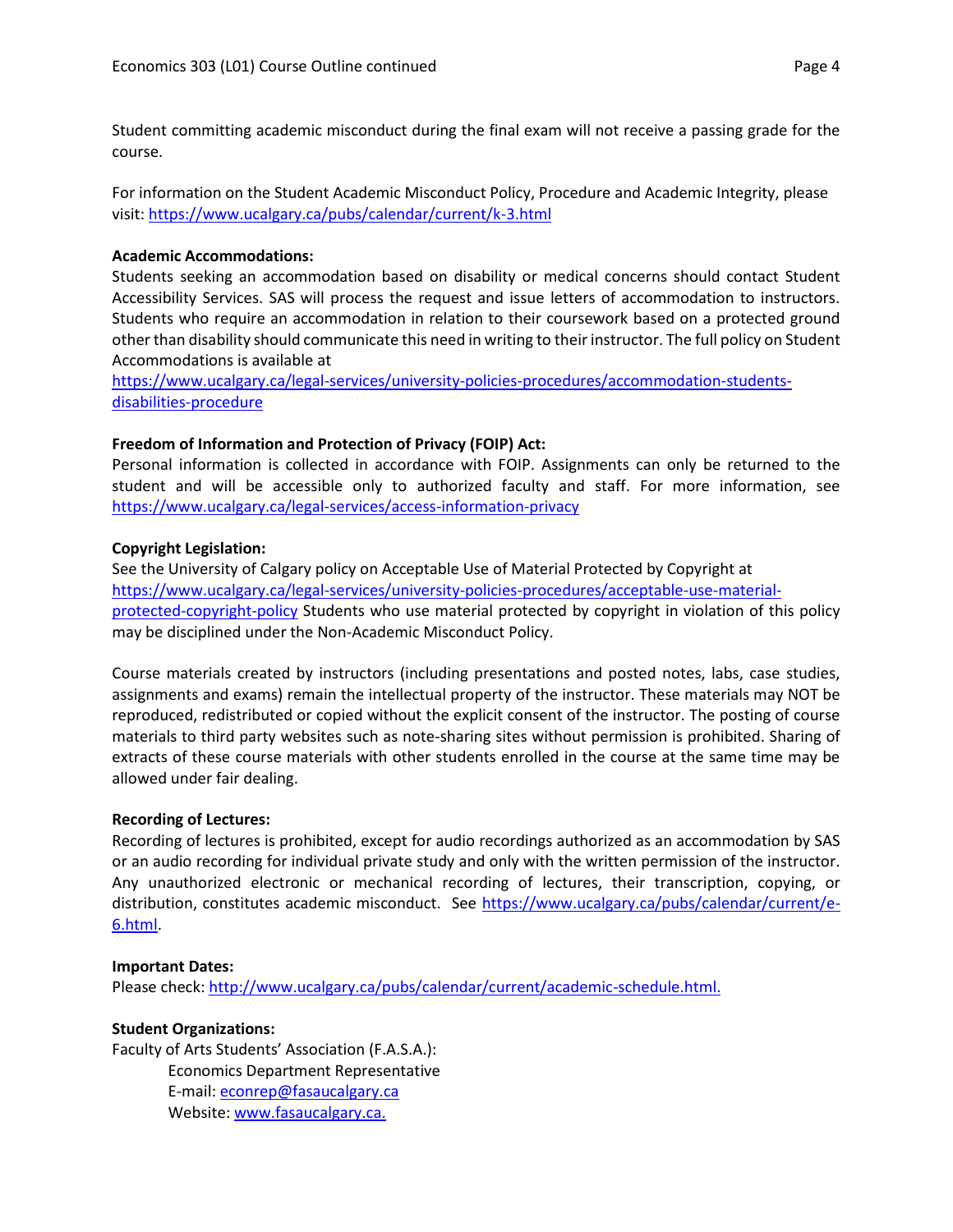Student committing academic misconduct during the final exam will not receive a passing grade for the course.

For information on the Student Academic Misconduct Policy, Procedure and Academic Integrity, please visit[: https://www.ucalgary.ca/pubs/calendar/current/k-3.html](https://www.ucalgary.ca/pubs/calendar/current/k-3.html)

## **Academic Accommodations:**

Students seeking an accommodation based on disability or medical concerns should contact Student Accessibility Services. SAS will process the request and issue letters of accommodation to instructors. Students who require an accommodation in relation to their coursework based on a protected ground other than disability should communicate this need in writing to their instructor. The full policy on Student Accommodations is available at

[https://www.ucalgary.ca/legal-services/university-policies-procedures/accommodation-students](https://www.ucalgary.ca/legal-services/university-policies-procedures/accommodation-students-disabilities-procedure)[disabilities-procedure](https://www.ucalgary.ca/legal-services/university-policies-procedures/accommodation-students-disabilities-procedure)

# **Freedom of Information and Protection of Privacy (FOIP) Act:**

Personal information is collected in accordance with FOIP. Assignments can only be returned to the student and will be accessible only to authorized faculty and staff. For more information, see <https://www.ucalgary.ca/legal-services/access-information-privacy>

## **Copyright Legislation:**

See the University of Calgary policy on Acceptable Use of Material Protected by Copyright at [https://www.ucalgary.ca/legal-services/university-policies-procedures/acceptable-use-material](https://www.ucalgary.ca/legal-services/university-policies-procedures/acceptable-use-material-protected-copyright-policy)[protected-copyright-policy](https://www.ucalgary.ca/legal-services/university-policies-procedures/acceptable-use-material-protected-copyright-policy) Students who use material protected by copyright in violation of this policy may be disciplined under the Non-Academic Misconduct Policy.

Course materials created by instructors (including presentations and posted notes, labs, case studies, assignments and exams) remain the intellectual property of the instructor. These materials may NOT be reproduced, redistributed or copied without the explicit consent of the instructor. The posting of course materials to third party websites such as note-sharing sites without permission is prohibited. Sharing of extracts of these course materials with other students enrolled in the course at the same time may be allowed under fair dealing.

#### **Recording of Lectures:**

Recording of lectures is prohibited, except for audio recordings authorized as an accommodation by SAS or an audio recording for individual private study and only with the written permission of the instructor. Any unauthorized electronic or mechanical recording of lectures, their transcription, copying, or distribution, constitutes academic misconduct. See [https://www.ucalgary.ca/pubs/calendar/current/e-](https://www.ucalgary.ca/pubs/calendar/current/e-6.html)[6.html.](https://www.ucalgary.ca/pubs/calendar/current/e-6.html)

#### **Important Dates:**

Please check: [http://www.ucalgary.ca/pubs/calendar/current/academic-schedule.html.](http://www.ucalgary.ca/pubs/calendar/current/academic-schedule.html)

# **Student Organizations:**

Faculty of Arts Students' Association (F.A.S.A.): Economics Department Representative E-mail: [econrep@fasaucalgary.ca](mailto:econrep@fasaucalgary.ca) Website[: www.fasaucalgary.ca.](http://www.fasaucalgary.ca/)